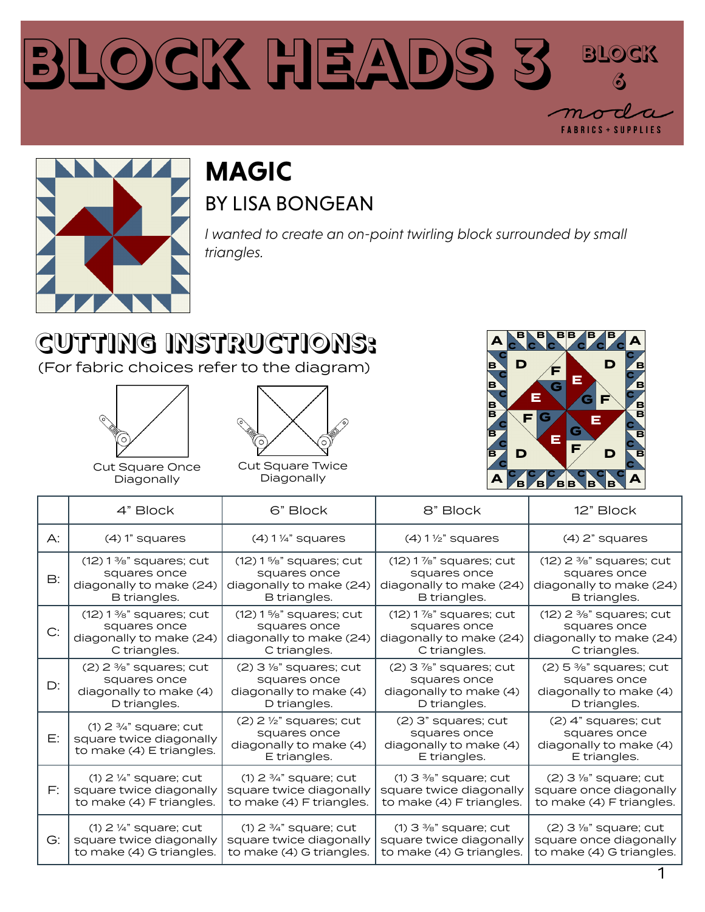#### **Block Heads 3 Block 6FABRICS + SUPPLIES**



#### **MAGIC** BY LISA BONGEAN

*I wanted to create an on-point twirling block surrounded by small triangles.*

## **CUTTING INSTRUCTIONS:**

(For fabric choices refer to the diagram)





Cut Square Once Diagonally

Cut Square Twice Diagonally



|                | 4" Block                                                                                   | 6" Block                                                                                       | 8" Block                                                                        | 12" Block                                                                       |
|----------------|--------------------------------------------------------------------------------------------|------------------------------------------------------------------------------------------------|---------------------------------------------------------------------------------|---------------------------------------------------------------------------------|
| $\bigwedge$ :  | $(4)$ 1" squares                                                                           | $(4)$ 1 $\frac{1}{4}$ " squares                                                                | $(4)$ 1 $\frac{1}{2}$ " squares                                                 | $(4)$ 2" squares                                                                |
| $\mathsf{B}$ : | $(12)$ 1 %" squares; cut                                                                   | $(12)$ 1 %" squares; cut                                                                       | $(12)$ 1 %" squares; cut                                                        | $(12)$ 2 %" squares; cut                                                        |
|                | squares once                                                                               | squares once                                                                                   | squares once                                                                    | squares once                                                                    |
|                | diagonally to make (24)                                                                    | diagonally to make (24)                                                                        | diagonally to make (24)                                                         | diagonally to make (24)                                                         |
|                | B triangles.                                                                               | B triangles.                                                                                   | B triangles.                                                                    | B triangles.                                                                    |
| C:             | $(12)$ 1 %" squares; cut                                                                   | $(12)$ 1%" squares; cut                                                                        | $(12)$ 1%" squares; cut                                                         | $(12)$ 2 %" squares; cut                                                        |
|                | squares once                                                                               | squares once                                                                                   | squares once                                                                    | squares once                                                                    |
|                | diagonally to make (24)                                                                    | diagonally to make (24)                                                                        | diagonally to make (24)                                                         | diagonally to make (24)                                                         |
|                | C triangles.                                                                               | C triangles.                                                                                   | C triangles.                                                                    | C triangles.                                                                    |
| D:             | $(2)$ 2 %" squares; cut                                                                    | $(2)$ 3 $\frac{1}{8}$ " squares; cut                                                           | $(2)$ 3 $\frac{7}{8}$ " squares; cut                                            | $(2)$ 5 %" squares; cut                                                         |
|                | squares once                                                                               | squares once                                                                                   | squares once                                                                    | squares once                                                                    |
|                | diagonally to make (4)                                                                     | diagonally to make (4)                                                                         | diagonally to make (4)                                                          | diagonally to make (4)                                                          |
|                | D triangles.                                                                               | D triangles.                                                                                   | D triangles.                                                                    | D triangles.                                                                    |
| E:             | $(1)$ 2 $\frac{3}{4}$ " square; cut<br>square twice diagonally<br>to make (4) E triangles. | $(2)$ 2 $\frac{1}{2}$ " squares; cut<br>squares once<br>diagonally to make (4)<br>E triangles. | $(2)$ 3" squares; cut<br>squares once<br>diagonally to make (4)<br>E triangles. | $(2)$ 4" squares; cut<br>squares once<br>diagonally to make (4)<br>E triangles. |
| F:             | $(1)$ 2 $\frac{1}{4}$ " square; cut                                                        | $(1)$ 2 $\frac{3}{4}$ " square; cut                                                            | $(1)$ 3 %" square; cut                                                          | $(2)$ 3 $\frac{1}{8}$ " square; cut                                             |
|                | square twice diagonally                                                                    | square twice diagonally                                                                        | square twice diagonally                                                         | square once diagonally                                                          |
|                | to make (4) F triangles.                                                                   | to make (4) F triangles.                                                                       | to make (4) F triangles.                                                        | to make (4) F triangles.                                                        |
| $G$ :          | $(1)$ 2 $\frac{1}{4}$ " square; cut                                                        | $(1)$ 2 $\frac{3}{4}$ " square; cut                                                            | $(1)$ 3 $\frac{3}{8}$ " square; cut                                             | $(2)$ 3 $\frac{1}{8}$ " square; cut                                             |
|                | square twice diagonally                                                                    | square twice diagonally                                                                        | square twice diagonally                                                         | square once diagonally                                                          |
|                | to make (4) G triangles.                                                                   | to make (4) G triangles.                                                                       | to make (4) G triangles.                                                        | to make (4) G triangles.                                                        |